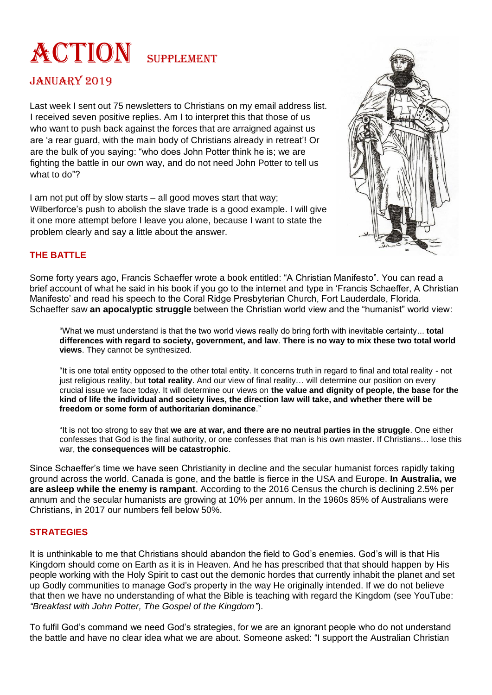# **ACTION** SUPPLEMENT

# JANUARY 2019

Last week I sent out 75 newsletters to Christians on my email address list. I received seven positive replies. Am I to interpret this that those of us who want to push back against the forces that are arraigned against us are 'a rear guard, with the main body of Christians already in retreat'! Or are the bulk of you saying: "who does John Potter think he is; we are fighting the battle in our own way, and do not need John Potter to tell us what to do"?

I am not put off by slow starts – all good moves start that way; Wilberforce's push to abolish the slave trade is a good example. I will give it one more attempt before I leave you alone, because I want to state the problem clearly and say a little about the answer.



## **THE BATTLE**

Some forty years ago, Francis Schaeffer wrote a book entitled: "A Christian Manifesto". You can read a brief account of what he said in his book if you go to the internet and type in 'Francis Schaeffer, A Christian Manifesto' and read his speech to the Coral Ridge Presbyterian Church, Fort Lauderdale, Florida. Schaeffer saw **an apocalyptic struggle** between the Christian world view and the "humanist" world view:

"What we must understand is that the two world views really do bring forth with inevitable certainty... **total differences with regard to society, government, and law**. **There is no way to mix these two total world views**. They cannot be synthesized.

"It is one total entity opposed to the other total entity. It concerns truth in regard to final and total reality - not just religious reality, but **total reality**. And our view of final reality… will determine our position on every crucial issue we face today. It will determine our views on **the value and dignity of people, the base for the kind of life the individual and society lives, the direction law will take, and whether there will be freedom or some form of authoritarian dominance**."

"It is not too strong to say that **we are at war, and there are no neutral parties in the struggle**. One either confesses that God is the final authority, or one confesses that man is his own master. If Christians… lose this war, **the consequences will be catastrophic**.

Since Schaeffer's time we have seen Christianity in decline and the secular humanist forces rapidly taking ground across the world. Canada is gone, and the battle is fierce in the USA and Europe. **In Australia, we are asleep while the enemy is rampant**. According to the 2016 Census the church is declining 2.5% per annum and the secular humanists are growing at 10% per annum. In the 1960s 85% of Australians were Christians, in 2017 our numbers fell below 50%.

### **STRATEGIES**

It is unthinkable to me that Christians should abandon the field to God's enemies. God's will is that His Kingdom should come on Earth as it is in Heaven. And he has prescribed that that should happen by His people working with the Holy Spirit to cast out the demonic hordes that currently inhabit the planet and set up Godly communities to manage God's property in the way He originally intended. If we do not believe that then we have no understanding of what the Bible is teaching with regard the Kingdom (see YouTube: *"Breakfast with John Potter, The Gospel of the Kingdom"*).

To fulfil God's command we need God's strategies, for we are an ignorant people who do not understand the battle and have no clear idea what we are about. Someone asked: "I support the Australian Christian